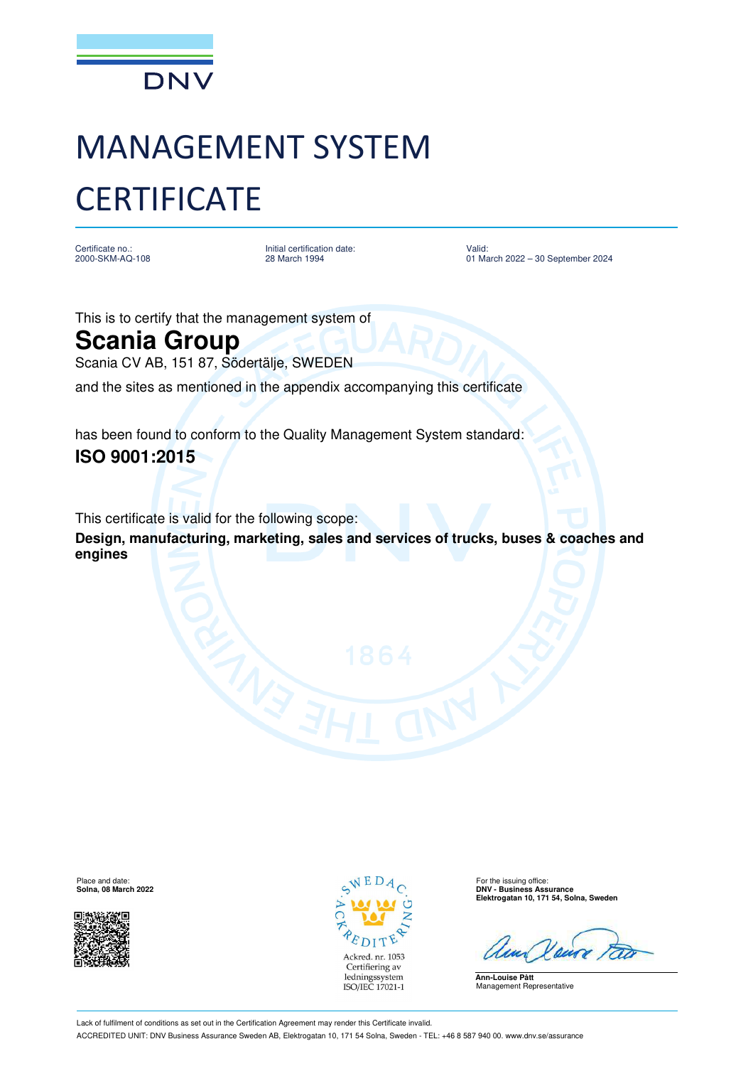

## MANAGEMENT SYSTEM **CERTIFICATE**

Certificate no.: 2000-SKM-AQ-108

Initial certification date: 28 March 1994

Valid: 01 March 2022 - 30 September 2024

This is to certify that the management system of

## **Scania Group**

Scania CV AB, 151 87, Södertälje, SWEDEN

and the sites as mentioned in the appendix accompanying this certificate

has been found to conform to the Quality Management System standard: **ISO 9001:2015**

This certificate is valid for the following scope: **Design, manufacturing, marketing, sales and services of trucks, buses & coaches and engines**





**Solna, 08 March 2022 DNV - Business Assurance Elektrogatan 10, 171 54, Solna, Sweden**

**Ann-Louise Pått** Management Representative

Lack of fulfilment of conditions as set out in the Certification Agreement may render this Certificate invalid. ACCREDITED UNIT: DNV Business Assurance Sweden AB, Elektrogatan 10, 171 54 Solna, Sweden - TEL: +46 8 587 940 00. [www.dnv.se/assurance](http://www.dnv.se/assurance)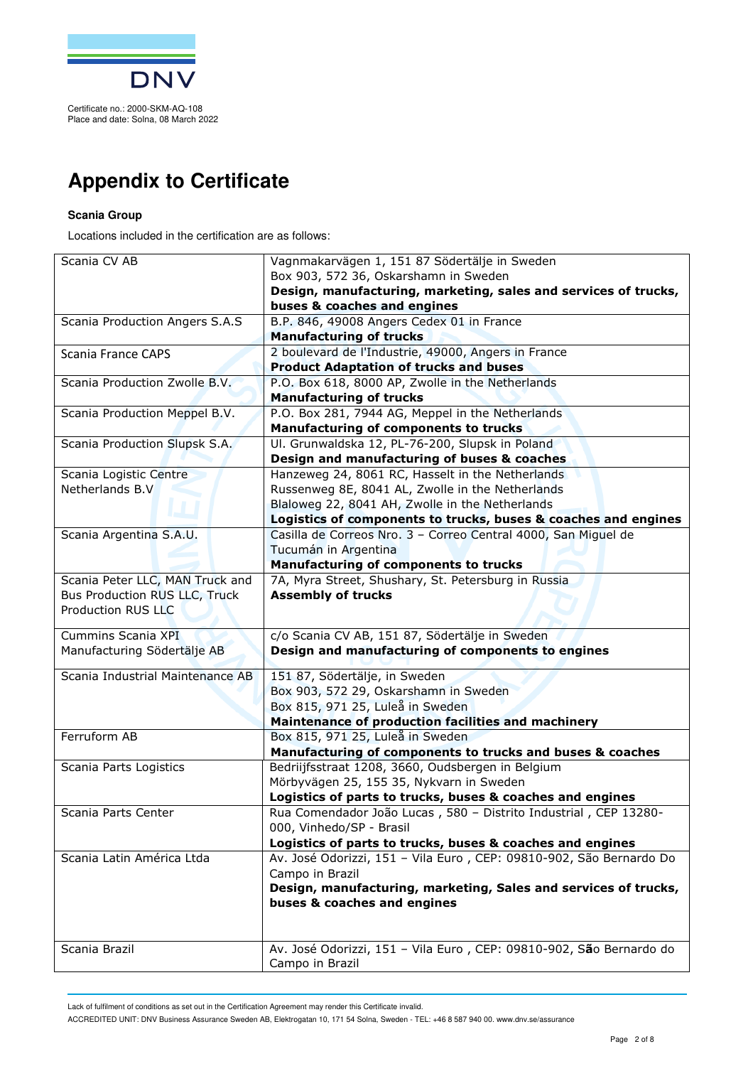

## **Appendix to Certificate**

## **Scania Group**

Locations included in the certification are as follows:

| Scania CV AB                     | Vagnmakarvägen 1, 151 87 Södertälje in Sweden                       |
|----------------------------------|---------------------------------------------------------------------|
|                                  | Box 903, 572 36, Oskarshamn in Sweden                               |
|                                  | Design, manufacturing, marketing, sales and services of trucks,     |
|                                  | buses & coaches and engines                                         |
| Scania Production Angers S.A.S   | B.P. 846, 49008 Angers Cedex 01 in France                           |
|                                  | <b>Manufacturing of trucks</b>                                      |
| <b>Scania France CAPS</b>        | 2 boulevard de l'Industrie, 49000, Angers in France                 |
|                                  | <b>Product Adaptation of trucks and buses</b>                       |
| Scania Production Zwolle B.V.    | P.O. Box 618, 8000 AP, Zwolle in the Netherlands                    |
|                                  | <b>Manufacturing of trucks</b>                                      |
| Scania Production Meppel B.V.    | P.O. Box 281, 7944 AG, Meppel in the Netherlands                    |
|                                  | <b>Manufacturing of components to trucks</b>                        |
| Scania Production Slupsk S.A.    | Ul. Grunwaldska 12, PL-76-200, Slupsk in Poland                     |
|                                  | Design and manufacturing of buses & coaches                         |
| Scania Logistic Centre           | Hanzeweg 24, 8061 RC, Hasselt in the Netherlands                    |
| Netherlands B.V                  | Russenweg 8E, 8041 AL, Zwolle in the Netherlands                    |
|                                  | Blaloweg 22, 8041 AH, Zwolle in the Netherlands                     |
|                                  | Logistics of components to trucks, buses & coaches and engines      |
| Scania Argentina S.A.U.          | Casilla de Correos Nro. 3 - Correo Central 4000, San Miguel de      |
|                                  | Tucumán in Argentina                                                |
|                                  | <b>Manufacturing of components to trucks</b>                        |
| Scania Peter LLC, MAN Truck and  | 7A, Myra Street, Shushary, St. Petersburg in Russia                 |
| Bus Production RUS LLC, Truck    | <b>Assembly of trucks</b>                                           |
| <b>Production RUS LLC</b>        |                                                                     |
| Cummins Scania XPI               | c/o Scania CV AB, 151 87, Södertälje in Sweden                      |
| Manufacturing Södertälje AB      | Design and manufacturing of components to engines                   |
|                                  |                                                                     |
| Scania Industrial Maintenance AB | 151 87, Södertälje, in Sweden                                       |
|                                  | Box 903, 572 29, Oskarshamn in Sweden                               |
|                                  | Box 815, 971 25, Luleå in Sweden                                    |
|                                  | Maintenance of production facilities and machinery                  |
| Ferruform AB                     | Box 815, 971 25, Luleå in Sweden                                    |
|                                  | Manufacturing of components to trucks and buses & coaches           |
| Scania Parts Logistics           | Bedriijfsstraat 1208, 3660, Oudsbergen in Belgium                   |
|                                  | Mörbyvägen 25, 155 35, Nykvarn in Sweden                            |
|                                  | Logistics of parts to trucks, buses & coaches and engines           |
| Scania Parts Center              | Rua Comendador João Lucas, 580 - Distrito Industrial, CEP 13280-    |
|                                  | 000, Vinhedo/SP - Brasil                                            |
|                                  | Logistics of parts to trucks, buses & coaches and engines           |
| Scania Latin América Ltda        | Av. José Odorizzi, 151 - Vila Euro, CEP: 09810-902, São Bernardo Do |
|                                  | Campo in Brazil                                                     |
|                                  | Design, manufacturing, marketing, Sales and services of trucks,     |
|                                  | buses & coaches and engines                                         |
|                                  |                                                                     |
|                                  |                                                                     |
| Scania Brazil                    | Av. José Odorizzi, 151 - Vila Euro, CEP: 09810-902, São Bernardo do |
|                                  | Campo in Brazil                                                     |

Lack of fulfilment of conditions as set out in the Certification Agreement may render this Certificate invalid.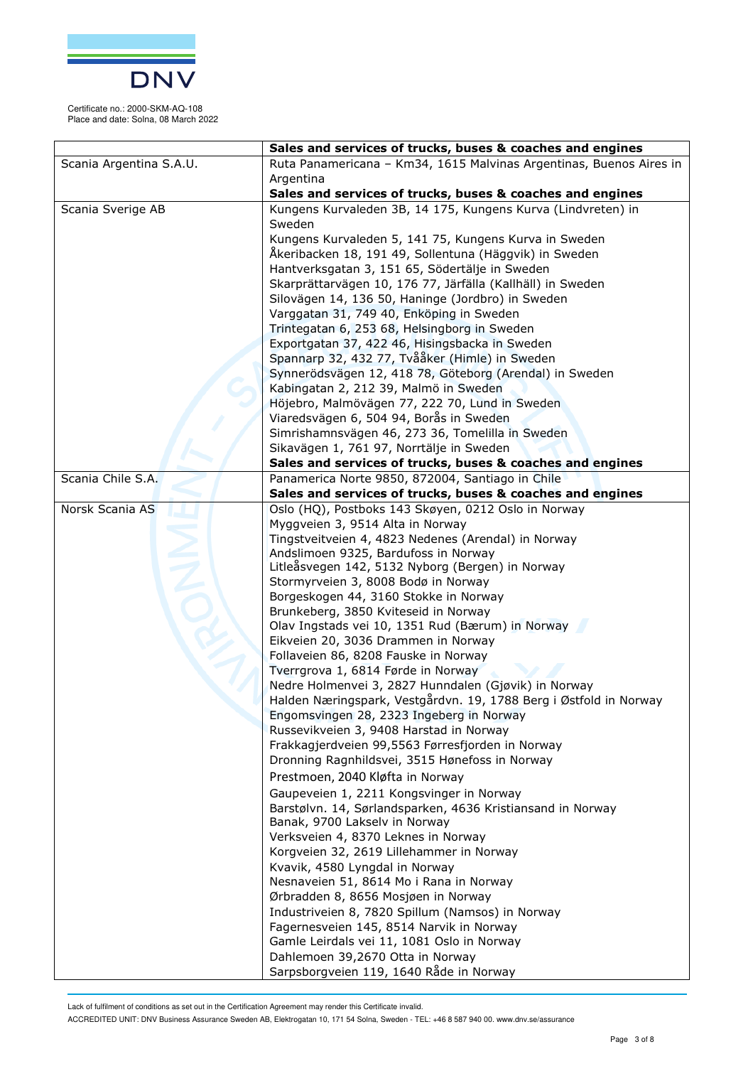

|                         | Sales and services of trucks, buses & coaches and engines                                                     |
|-------------------------|---------------------------------------------------------------------------------------------------------------|
| Scania Argentina S.A.U. | Ruta Panamericana - Km34, 1615 Malvinas Argentinas, Buenos Aires in<br>Argentina                              |
|                         | Sales and services of trucks, buses & coaches and engines                                                     |
| Scania Sverige AB       | Kungens Kurvaleden 3B, 14 175, Kungens Kurva (Lindvreten) in                                                  |
|                         | Sweden                                                                                                        |
|                         | Kungens Kurvaleden 5, 141 75, Kungens Kurva in Sweden                                                         |
|                         | Åkeribacken 18, 191 49, Sollentuna (Häggvik) in Sweden                                                        |
|                         | Hantverksgatan 3, 151 65, Södertälje in Sweden                                                                |
|                         | Skarprättarvägen 10, 176 77, Järfälla (Kallhäll) in Sweden                                                    |
|                         | Silovägen 14, 136 50, Haninge (Jordbro) in Sweden                                                             |
|                         | Varggatan 31, 749 40, Enköping in Sweden                                                                      |
|                         | Trintegatan 6, 253 68, Helsingborg in Sweden                                                                  |
|                         | Exportgatan 37, 422 46, Hisingsbacka in Sweden                                                                |
|                         | Spannarp 32, 432 77, Tvååker (Himle) in Sweden                                                                |
|                         | Synnerödsvägen 12, 418 78, Göteborg (Arendal) in Sweden                                                       |
|                         | Kabingatan 2, 212 39, Malmö in Sweden                                                                         |
|                         | Höjebro, Malmövägen 77, 222 70, Lund in Sweden                                                                |
|                         | Viaredsvägen 6, 504 94, Borås in Sweden                                                                       |
|                         | Simrishamnsvägen 46, 273 36, Tomelilla in Sweden                                                              |
|                         | Sikavägen 1, 761 97, Norrtälje in Sweden                                                                      |
|                         | Sales and services of trucks, buses & coaches and engines                                                     |
| Scania Chile S.A.       | Panamerica Norte 9850, 872004, Santiago in Chile<br>Sales and services of trucks, buses & coaches and engines |
| Norsk Scania AS         | Oslo (HQ), Postboks 143 Skøyen, 0212 Oslo in Norway                                                           |
|                         | Myggveien 3, 9514 Alta in Norway                                                                              |
|                         | Tingstveitveien 4, 4823 Nedenes (Arendal) in Norway                                                           |
|                         | Andslimoen 9325, Bardufoss in Norway                                                                          |
|                         | Litleåsvegen 142, 5132 Nyborg (Bergen) in Norway                                                              |
|                         | Stormyrveien 3, 8008 Bodø in Norway<br>Borgeskogen 44, 3160 Stokke in Norway                                  |
|                         | Brunkeberg, 3850 Kviteseid in Norway                                                                          |
|                         | Olav Ingstads vei 10, 1351 Rud (Bærum) in Norway                                                              |
|                         | Eikveien 20, 3036 Drammen in Norway                                                                           |
|                         | Follaveien 86, 8208 Fauske in Norway                                                                          |
|                         | Tverrgrova 1, 6814 Førde in Norway                                                                            |
|                         | Nedre Holmenvei 3, 2827 Hunndalen (Gjøvik) in Norway                                                          |
|                         | Halden Næringspark, Vestgårdvn. 19, 1788 Berg i Østfold in Norway                                             |
|                         | Engomsvingen 28, 2323 Ingeberg in Norway                                                                      |
|                         | Russevikveien 3, 9408 Harstad in Norway                                                                       |
|                         | Frakkagjerdveien 99,5563 Førresfjorden in Norway                                                              |
|                         | Dronning Ragnhildsvei, 3515 Hønefoss in Norway                                                                |
|                         | Prestmoen, 2040 Kløfta in Norway                                                                              |
|                         | Gaupeveien 1, 2211 Kongsvinger in Norway                                                                      |
|                         | Barstølvn. 14, Sørlandsparken, 4636 Kristiansand in Norway                                                    |
|                         | Banak, 9700 Lakselv in Norway                                                                                 |
|                         | Verksveien 4, 8370 Leknes in Norway                                                                           |
|                         | Korgveien 32, 2619 Lillehammer in Norway                                                                      |
|                         | Kvavik, 4580 Lyngdal in Norway                                                                                |
|                         | Nesnaveien 51, 8614 Mo i Rana in Norway                                                                       |
|                         | Ørbradden 8, 8656 Mosjøen in Norway                                                                           |
|                         | Industriveien 8, 7820 Spillum (Namsos) in Norway<br>Fagernesveien 145, 8514 Narvik in Norway                  |
|                         | Gamle Leirdals vei 11, 1081 Oslo in Norway                                                                    |
|                         | Dahlemoen 39,2670 Otta in Norway                                                                              |
|                         | Sarpsborgveien 119, 1640 Råde in Norway                                                                       |
|                         |                                                                                                               |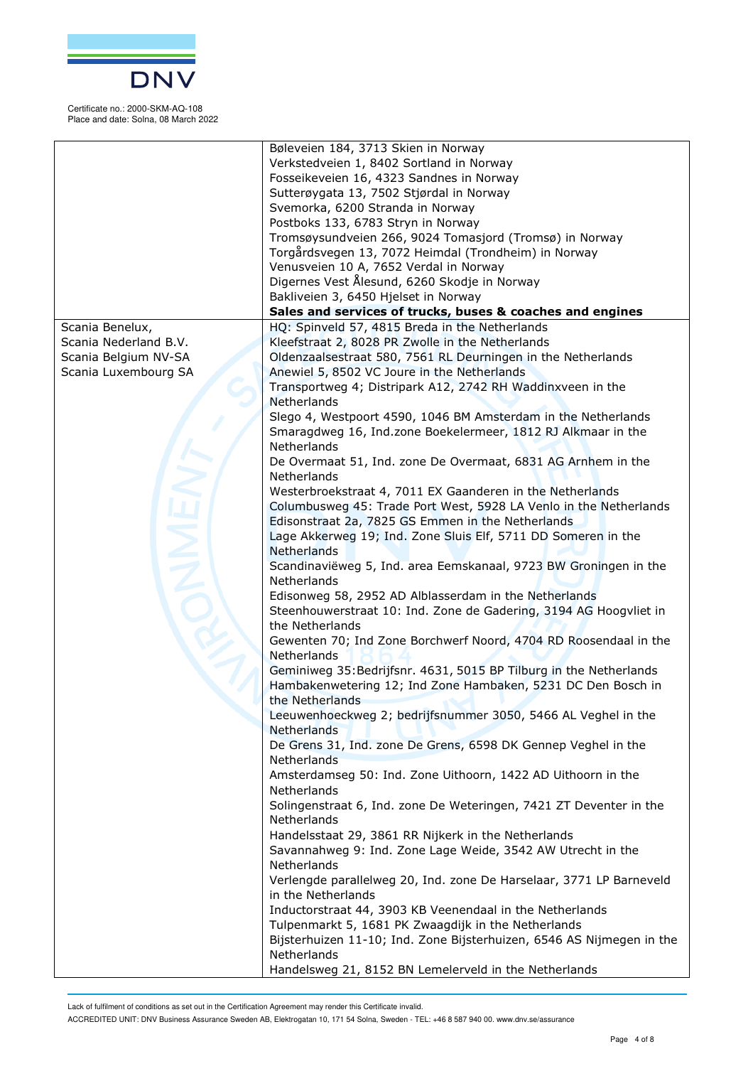

|                                              | Bøleveien 184, 3713 Skien in Norway<br>Verkstedveien 1, 8402 Sortland in Norway<br>Fosseikeveien 16, 4323 Sandnes in Norway<br>Sutterøygata 13, 7502 Stjørdal in Norway<br>Svemorka, 6200 Stranda in Norway |
|----------------------------------------------|-------------------------------------------------------------------------------------------------------------------------------------------------------------------------------------------------------------|
|                                              | Postboks 133, 6783 Stryn in Norway<br>Tromsøysundveien 266, 9024 Tomasjord (Tromsø) in Norway                                                                                                               |
|                                              | Torgårdsvegen 13, 7072 Heimdal (Trondheim) in Norway<br>Venusveien 10 A, 7652 Verdal in Norway                                                                                                              |
|                                              | Digernes Vest Ålesund, 6260 Skodje in Norway<br>Bakliveien 3, 6450 Hjelset in Norway                                                                                                                        |
|                                              | Sales and services of trucks, buses & coaches and engines                                                                                                                                                   |
| Scania Benelux,                              | HQ: Spinveld 57, 4815 Breda in the Netherlands                                                                                                                                                              |
| Scania Nederland B.V.                        | Kleefstraat 2, 8028 PR Zwolle in the Netherlands                                                                                                                                                            |
| Scania Belgium NV-SA<br>Scania Luxembourg SA | Oldenzaalsestraat 580, 7561 RL Deurningen in the Netherlands<br>Anewiel 5, 8502 VC Joure in the Netherlands                                                                                                 |
|                                              | Transportweg 4; Distripark A12, 2742 RH Waddinxveen in the<br>Netherlands                                                                                                                                   |
|                                              | Slego 4, Westpoort 4590, 1046 BM Amsterdam in the Netherlands                                                                                                                                               |
|                                              | Smaragdweg 16, Ind.zone Boekelermeer, 1812 RJ Alkmaar in the<br>Netherlands                                                                                                                                 |
|                                              | De Overmaat 51, Ind. zone De Overmaat, 6831 AG Arnhem in the<br>Netherlands                                                                                                                                 |
|                                              | Westerbroekstraat 4, 7011 EX Gaanderen in the Netherlands                                                                                                                                                   |
|                                              | Columbusweg 45: Trade Port West, 5928 LA Venlo in the Netherlands<br>Edisonstraat 2a, 7825 GS Emmen in the Netherlands                                                                                      |
|                                              | Lage Akkerweg 19; Ind. Zone Sluis Elf, 5711 DD Someren in the                                                                                                                                               |
|                                              | Netherlands                                                                                                                                                                                                 |
|                                              | Scandinaviëweg 5, Ind. area Eemskanaal, 9723 BW Groningen in the<br>Netherlands                                                                                                                             |
|                                              | Edisonweg 58, 2952 AD Alblasserdam in the Netherlands                                                                                                                                                       |
|                                              | Steenhouwerstraat 10: Ind. Zone de Gadering, 3194 AG Hoogvliet in<br>the Netherlands                                                                                                                        |
|                                              | Gewenten 70; Ind Zone Borchwerf Noord, 4704 RD Roosendaal in the<br>Netherlands                                                                                                                             |
|                                              | Geminiweg 35: Bedrijfsnr. 4631, 5015 BP Tilburg in the Netherlands<br>Hambakenwetering 12; Ind Zone Hambaken, 5231 DC Den Bosch in<br>the Netherlands                                                       |
|                                              | Leeuwenhoeckweg 2; bedrijfsnummer 3050, 5466 AL Veghel in the<br>Netherlands                                                                                                                                |
|                                              | De Grens 31, Ind. zone De Grens, 6598 DK Gennep Veghel in the<br>Netherlands                                                                                                                                |
|                                              | Amsterdamseg 50: Ind. Zone Uithoorn, 1422 AD Uithoorn in the<br>Netherlands                                                                                                                                 |
|                                              | Solingenstraat 6, Ind. zone De Weteringen, 7421 ZT Deventer in the<br>Netherlands                                                                                                                           |
|                                              | Handelsstaat 29, 3861 RR Nijkerk in the Netherlands<br>Savannahweg 9: Ind. Zone Lage Weide, 3542 AW Utrecht in the<br>Netherlands                                                                           |
|                                              | Verlengde parallelweg 20, Ind. zone De Harselaar, 3771 LP Barneveld<br>in the Netherlands                                                                                                                   |
|                                              | Inductorstraat 44, 3903 KB Veenendaal in the Netherlands                                                                                                                                                    |
|                                              | Tulpenmarkt 5, 1681 PK Zwaagdijk in the Netherlands<br>Bijsterhuizen 11-10; Ind. Zone Bijsterhuizen, 6546 AS Nijmegen in the                                                                                |
|                                              | Netherlands                                                                                                                                                                                                 |
|                                              | Handelsweg 21, 8152 BN Lemelerveld in the Netherlands                                                                                                                                                       |

Lack of fulfilment of conditions as set out in the Certification Agreement may render this Certificate invalid.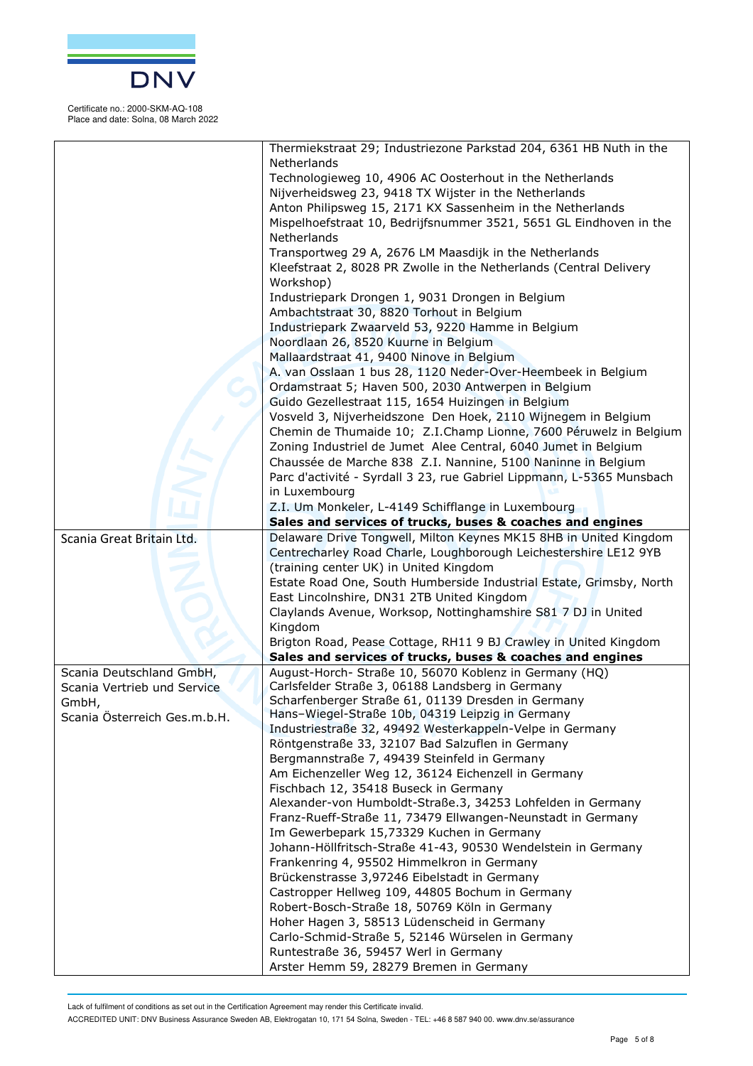

|                              | Thermiekstraat 29; Industriezone Parkstad 204, 6361 HB Nuth in the                               |
|------------------------------|--------------------------------------------------------------------------------------------------|
|                              | Netherlands                                                                                      |
|                              | Technologieweg 10, 4906 AC Oosterhout in the Netherlands                                         |
|                              | Nijverheidsweg 23, 9418 TX Wijster in the Netherlands                                            |
|                              | Anton Philipsweg 15, 2171 KX Sassenheim in the Netherlands                                       |
|                              | Mispelhoefstraat 10, Bedrijfsnummer 3521, 5651 GL Eindhoven in the                               |
|                              | Netherlands                                                                                      |
|                              | Transportweg 29 A, 2676 LM Maasdijk in the Netherlands                                           |
|                              | Kleefstraat 2, 8028 PR Zwolle in the Netherlands (Central Delivery                               |
|                              | Workshop)                                                                                        |
|                              | Industriepark Drongen 1, 9031 Drongen in Belgium                                                 |
|                              | Ambachtstraat 30, 8820 Torhout in Belgium                                                        |
|                              | Industriepark Zwaarveld 53, 9220 Hamme in Belgium                                                |
|                              | Noordlaan 26, 8520 Kuurne in Belgium                                                             |
|                              | Mallaardstraat 41, 9400 Ninove in Belgium                                                        |
|                              | A. van Osslaan 1 bus 28, 1120 Neder-Over-Heembeek in Belgium                                     |
|                              | Ordamstraat 5; Haven 500, 2030 Antwerpen in Belgium                                              |
|                              | Guido Gezellestraat 115, 1654 Huizingen in Belgium                                               |
|                              | Vosveld 3, Nijverheidszone Den Hoek, 2110 Wijnegem in Belgium                                    |
|                              | Chemin de Thumaide 10; Z.I.Champ Lionne, 7600 Péruwelz in Belgium                                |
|                              | Zoning Industriel de Jumet Alee Central, 6040 Jumet in Belgium                                   |
|                              | Chaussée de Marche 838 Z.I. Nannine, 5100 Naninne in Belgium                                     |
|                              | Parc d'activité - Syrdall 3 23, rue Gabriel Lippmann, L-5365 Munsbach                            |
|                              | in Luxembourg                                                                                    |
|                              | Z.I. Um Monkeler, L-4149 Schifflange in Luxembourg                                               |
|                              | Sales and services of trucks, buses & coaches and engines                                        |
| Scania Great Britain Ltd.    | Delaware Drive Tongwell, Milton Keynes MK15 8HB in United Kingdom                                |
|                              | Centrecharley Road Charle, Loughborough Leichestershire LE12 9YB                                 |
|                              | (training center UK) in United Kingdom                                                           |
|                              | Estate Road One, South Humberside Industrial Estate, Grimsby, North                              |
|                              | East Lincolnshire, DN31 2TB United Kingdom                                                       |
|                              | Claylands Avenue, Worksop, Nottinghamshire S81 7 DJ in United                                    |
|                              | Kingdom                                                                                          |
|                              | Brigton Road, Pease Cottage, RH11 9 BJ Crawley in United Kingdom                                 |
|                              | Sales and services of trucks, buses & coaches and engines                                        |
| Scania Deutschland GmbH,     | August-Horch- Straße 10, 56070 Koblenz in Germany (HQ)                                           |
| Scania Vertrieb und Service  | Carlsfelder Straße 3, 06188 Landsberg in Germany                                                 |
| GmbH,                        | Scharfenberger Straße 61, 01139 Dresden in Germany                                               |
| Scania Österreich Ges.m.b.H. | Hans-Wiegel-Straße 10b, 04319 Leipzig in Germany                                                 |
|                              | Industriestraße 32, 49492 Westerkappeln-Velpe in Germany                                         |
|                              | Röntgenstraße 33, 32107 Bad Salzuflen in Germany<br>Bergmannstraße 7, 49439 Steinfeld in Germany |
|                              | Am Eichenzeller Weg 12, 36124 Eichenzell in Germany                                              |
|                              | Fischbach 12, 35418 Buseck in Germany                                                            |
|                              | Alexander-von Humboldt-Straße.3, 34253 Lohfelden in Germany                                      |
|                              | Franz-Rueff-Straße 11, 73479 Ellwangen-Neunstadt in Germany                                      |
|                              | Im Gewerbepark 15,73329 Kuchen in Germany                                                        |
|                              | Johann-Höllfritsch-Straße 41-43, 90530 Wendelstein in Germany                                    |
|                              | Frankenring 4, 95502 Himmelkron in Germany                                                       |
|                              | Brückenstrasse 3,97246 Eibelstadt in Germany                                                     |
|                              | Castropper Hellweg 109, 44805 Bochum in Germany                                                  |
|                              | Robert-Bosch-Straße 18, 50769 Köln in Germany                                                    |
|                              | Hoher Hagen 3, 58513 Lüdenscheid in Germany                                                      |
|                              | Carlo-Schmid-Straße 5, 52146 Würselen in Germany                                                 |
|                              | Runtestraße 36, 59457 Werl in Germany                                                            |
|                              | Arster Hemm 59, 28279 Bremen in Germany                                                          |

Lack of fulfilment of conditions as set out in the Certification Agreement may render this Certificate invalid.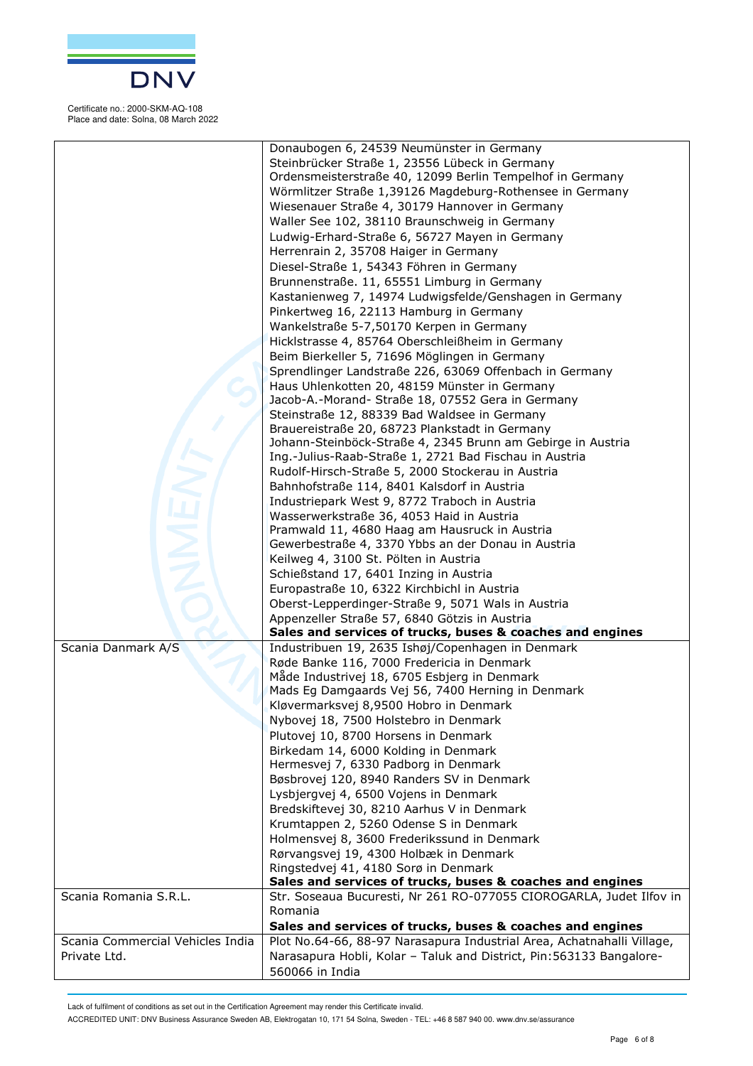

|                                  | Donaubogen 6, 24539 Neumünster in Germany                              |
|----------------------------------|------------------------------------------------------------------------|
|                                  | Steinbrücker Straße 1, 23556 Lübeck in Germany                         |
|                                  | Ordensmeisterstraße 40, 12099 Berlin Tempelhof in Germany              |
|                                  | Wörmlitzer Straße 1,39126 Magdeburg-Rothensee in Germany               |
|                                  |                                                                        |
|                                  | Wiesenauer Straße 4, 30179 Hannover in Germany                         |
|                                  | Waller See 102, 38110 Braunschweig in Germany                          |
|                                  | Ludwig-Erhard-Straße 6, 56727 Mayen in Germany                         |
|                                  | Herrenrain 2, 35708 Haiger in Germany                                  |
|                                  | Diesel-Straße 1, 54343 Föhren in Germany                               |
|                                  | Brunnenstraße. 11, 65551 Limburg in Germany                            |
|                                  | Kastanienweg 7, 14974 Ludwigsfelde/Genshagen in Germany                |
|                                  | Pinkertweg 16, 22113 Hamburg in Germany                                |
|                                  | Wankelstraße 5-7,50170 Kerpen in Germany                               |
|                                  | Hicklstrasse 4, 85764 Oberschleißheim in Germany                       |
|                                  | Beim Bierkeller 5, 71696 Möglingen in Germany                          |
|                                  | Sprendlinger Landstraße 226, 63069 Offenbach in Germany                |
|                                  |                                                                        |
|                                  | Haus Uhlenkotten 20, 48159 Münster in Germany                          |
|                                  | Jacob-A.-Morand- Straße 18, 07552 Gera in Germany                      |
|                                  | Steinstraße 12, 88339 Bad Waldsee in Germany                           |
|                                  | Brauereistraße 20, 68723 Plankstadt in Germany                         |
|                                  | Johann-Steinböck-Straße 4, 2345 Brunn am Gebirge in Austria            |
|                                  | Ing.-Julius-Raab-Straße 1, 2721 Bad Fischau in Austria                 |
|                                  | Rudolf-Hirsch-Straße 5, 2000 Stockerau in Austria                      |
|                                  | Bahnhofstraße 114, 8401 Kalsdorf in Austria                            |
|                                  | Industriepark West 9, 8772 Traboch in Austria                          |
|                                  | Wasserwerkstraße 36, 4053 Haid in Austria                              |
|                                  | Pramwald 11, 4680 Haag am Hausruck in Austria                          |
|                                  | Gewerbestraße 4, 3370 Ybbs an der Donau in Austria                     |
|                                  | Keilweg 4, 3100 St. Pölten in Austria                                  |
|                                  | Schießstand 17, 6401 Inzing in Austria                                 |
|                                  | Europastraße 10, 6322 Kirchbichl in Austria                            |
|                                  | Oberst-Lepperdinger-Straße 9, 5071 Wals in Austria                     |
|                                  | Appenzeller Straße 57, 6840 Götzis in Austria                          |
|                                  | Sales and services of trucks, buses & coaches and engines              |
| Scania Danmark A/S               | Industribuen 19, 2635 Ishøj/Copenhagen in Denmark                      |
|                                  | Røde Banke 116, 7000 Fredericia in Denmark                             |
|                                  | Måde Industrivej 18, 6705 Esbjerg in Denmark                           |
|                                  | Mads Eg Damgaards Vej 56, 7400 Herning in Denmark                      |
|                                  | Kløvermarksvej 8,9500 Hobro in Denmark                                 |
|                                  | Nybovej 18, 7500 Holstebro in Denmark                                  |
|                                  | Plutovej 10, 8700 Horsens in Denmark                                   |
|                                  | Birkedam 14, 6000 Kolding in Denmark                                   |
|                                  | Hermesvej 7, 6330 Padborg in Denmark                                   |
|                                  |                                                                        |
|                                  | Bøsbrovej 120, 8940 Randers SV in Denmark                              |
|                                  | Lysbjergvej 4, 6500 Vojens in Denmark                                  |
|                                  | Bredskiftevej 30, 8210 Aarhus V in Denmark                             |
|                                  | Krumtappen 2, 5260 Odense S in Denmark                                 |
|                                  | Holmensvej 8, 3600 Frederikssund in Denmark                            |
|                                  | Rørvangsvej 19, 4300 Holbæk in Denmark                                 |
|                                  | Ringstedvej 41, 4180 Sorø in Denmark                                   |
|                                  | Sales and services of trucks, buses & coaches and engines              |
| Scania Romania S.R.L.            | Str. Soseaua Bucuresti, Nr 261 RO-077055 CIOROGARLA, Judet Ilfov in    |
|                                  | Romania                                                                |
|                                  | Sales and services of trucks, buses & coaches and engines              |
| Scania Commercial Vehicles India | Plot No.64-66, 88-97 Narasapura Industrial Area, Achatnahalli Village, |
| Private Ltd.                     | Narasapura Hobli, Kolar - Taluk and District, Pin: 563133 Bangalore-   |
|                                  | 560066 in India                                                        |

Lack of fulfilment of conditions as set out in the Certification Agreement may render this Certificate invalid.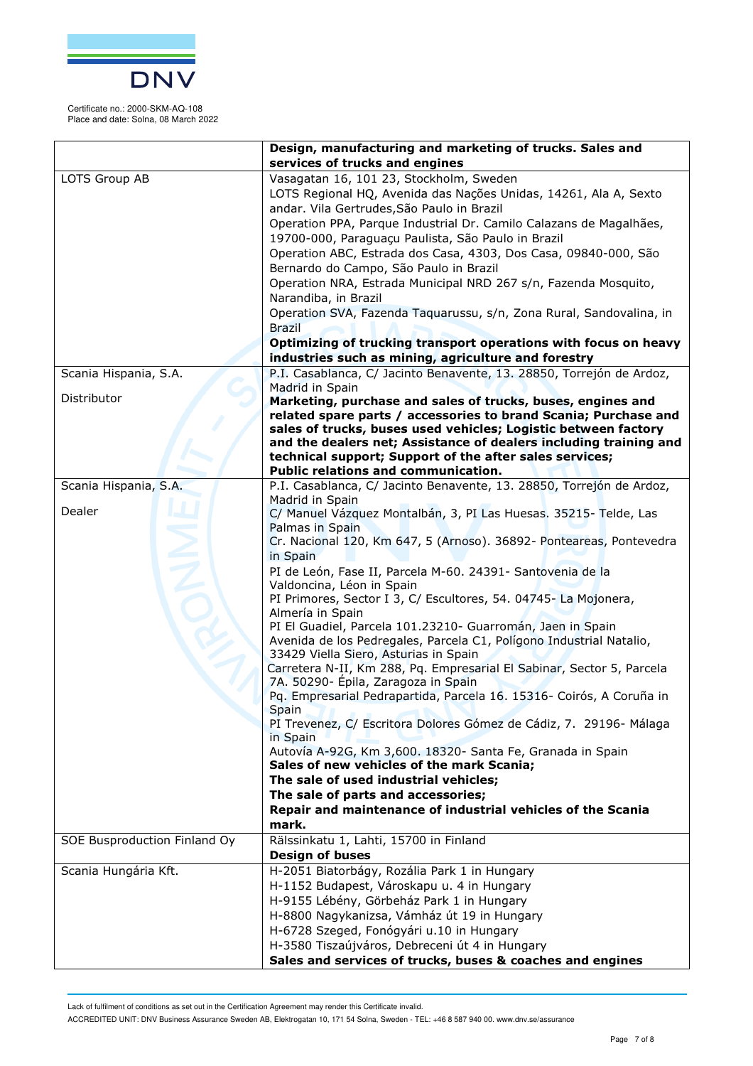

|                              | Design, manufacturing and marketing of trucks. Sales and                                                    |
|------------------------------|-------------------------------------------------------------------------------------------------------------|
|                              | services of trucks and engines                                                                              |
| LOTS Group AB                | Vasagatan 16, 101 23, Stockholm, Sweden                                                                     |
|                              | LOTS Regional HQ, Avenida das Nações Unidas, 14261, Ala A, Sexto                                            |
|                              | andar. Vila Gertrudes, São Paulo in Brazil                                                                  |
|                              | Operation PPA, Parque Industrial Dr. Camilo Calazans de Magalhães,                                          |
|                              | 19700-000, Paraguaçu Paulista, São Paulo in Brazil                                                          |
|                              | Operation ABC, Estrada dos Casa, 4303, Dos Casa, 09840-000, São                                             |
|                              | Bernardo do Campo, São Paulo in Brazil                                                                      |
|                              | Operation NRA, Estrada Municipal NRD 267 s/n, Fazenda Mosquito,                                             |
|                              | Narandiba, in Brazil                                                                                        |
|                              | Operation SVA, Fazenda Taquarussu, s/n, Zona Rural, Sandovalina, in                                         |
|                              | <b>Brazil</b>                                                                                               |
|                              | Optimizing of trucking transport operations with focus on heavy                                             |
|                              | industries such as mining, agriculture and forestry                                                         |
| Scania Hispania, S.A.        | P.I. Casablanca, C/ Jacinto Benavente, 13. 28850, Torrejón de Ardoz,                                        |
|                              | Madrid in Spain                                                                                             |
| Distributor                  | Marketing, purchase and sales of trucks, buses, engines and                                                 |
|                              | related spare parts / accessories to brand Scania; Purchase and                                             |
|                              | sales of trucks, buses used vehicles; Logistic between factory                                              |
|                              | and the dealers net; Assistance of dealers including training and                                           |
|                              | technical support; Support of the after sales services;                                                     |
|                              | Public relations and communication.                                                                         |
| Scania Hispania, S.A.        | P.I. Casablanca, C/ Jacinto Benavente, 13. 28850, Torrejón de Ardoz,<br>Madrid in Spain                     |
| Dealer                       | C/ Manuel Vázquez Montalbán, 3, PI Las Huesas. 35215- Telde, Las                                            |
|                              | Palmas in Spain                                                                                             |
|                              | Cr. Nacional 120, Km 647, 5 (Arnoso). 36892- Ponteareas, Pontevedra                                         |
|                              | in Spain                                                                                                    |
|                              | PI de León, Fase II, Parcela M-60. 24391- Santovenia de la                                                  |
|                              | Valdoncina, Léon in Spain                                                                                   |
|                              | PI Primores, Sector I 3, C/ Escultores, 54. 04745- La Mojonera,                                             |
|                              | Almería in Spain                                                                                            |
|                              | PI El Guadiel, Parcela 101.23210- Guarromán, Jaen in Spain                                                  |
|                              | Avenida de los Pedregales, Parcela C1, Polígono Industrial Natalio,                                         |
|                              | 33429 Viella Siero, Asturias in Spain                                                                       |
|                              | Carretera N-II, Km 288, Pq. Empresarial El Sabinar, Sector 5, Parcela                                       |
|                              | 7A. 50290- Épila, Zaragoza in Spain<br>Pq. Empresarial Pedrapartida, Parcela 16. 15316- Coirós, A Coruña in |
|                              | Spain                                                                                                       |
|                              | PI Trevenez, C/ Escritora Dolores Gómez de Cádiz, 7. 29196- Málaga                                          |
|                              | in Spain                                                                                                    |
|                              | Autovía A-92G, Km 3,600. 18320- Santa Fe, Granada in Spain                                                  |
|                              | Sales of new vehicles of the mark Scania;                                                                   |
|                              | The sale of used industrial vehicles;                                                                       |
|                              | The sale of parts and accessories;                                                                          |
|                              | Repair and maintenance of industrial vehicles of the Scania                                                 |
|                              | mark.                                                                                                       |
| SOE Busproduction Finland Oy | Rälssinkatu 1, Lahti, 15700 in Finland                                                                      |
|                              | <b>Design of buses</b>                                                                                      |
| Scania Hungária Kft.         | H-2051 Biatorbágy, Rozália Park 1 in Hungary                                                                |
|                              | H-1152 Budapest, Városkapu u. 4 in Hungary                                                                  |
|                              | H-9155 Lébény, Görbeház Park 1 in Hungary                                                                   |
|                              | H-8800 Nagykanizsa, Vámház út 19 in Hungary                                                                 |
|                              | H-6728 Szeged, Fonógyári u.10 in Hungary                                                                    |
|                              | H-3580 Tiszaújváros, Debreceni út 4 in Hungary                                                              |
|                              | Sales and services of trucks, buses & coaches and engines                                                   |

Lack of fulfilment of conditions as set out in the Certification Agreement may render this Certificate invalid.